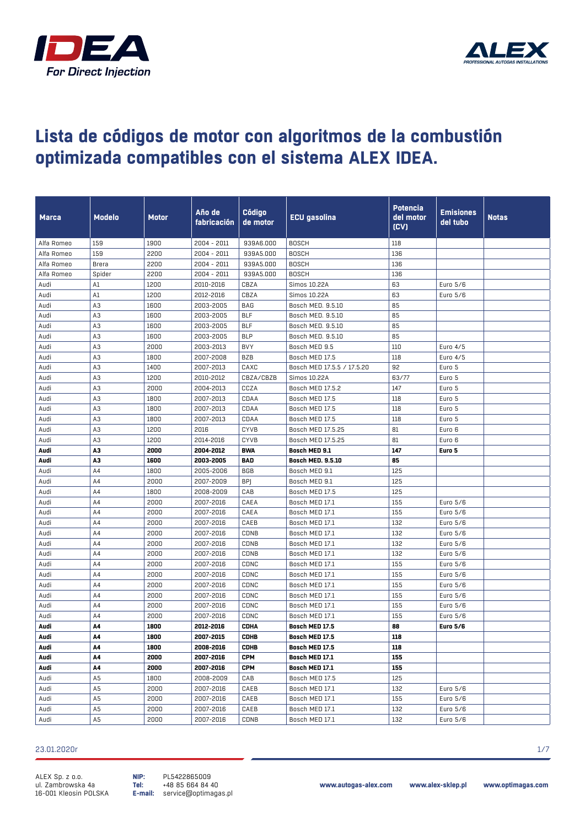



| <b>Marca</b> | <b>Modelo</b> | Motor | Año de<br>fabricación | Código<br>de motor | ECU gasolina               | Potencia<br>del motor<br>(CV) | <b>Emisiones</b><br>del tubo | <b>Notas</b> |
|--------------|---------------|-------|-----------------------|--------------------|----------------------------|-------------------------------|------------------------------|--------------|
| Alfa Romeo   | 159           | 1900  | 2004 - 2011           | 939A6.000          | <b>BOSCH</b>               | 118                           |                              |              |
| Alfa Romeo   | 159           | 2200  | 2004 - 2011           | 939A5.000          | <b>BOSCH</b>               | 136                           |                              |              |
| Alfa Romeo   | Brera         | 2200  | 2004 - 2011           | 939A5.000          | <b>BOSCH</b>               | 136                           |                              |              |
| Alfa Romeo   | Spider        | 2200  | 2004 - 2011           | 939A5.000          | <b>BOSCH</b>               | 136                           |                              |              |
| Audi         | A1            | 1200  | 2010-2016             | CBZA               | Simos 10.22A               | 63                            | Euro 5/6                     |              |
| Audi         | A1            | 1200  | 2012-2016             | CBZA               | Simos 10.22A               | 63                            | Euro 5/6                     |              |
| Audi         | A3            | 1600  | 2003-2005             | BAG                | Bosch MED. 9.5.10          | 85                            |                              |              |
| Audi         | A3            | 1600  | 2003-2005             | <b>BLF</b>         | Bosch MED. 9.5.10          | 85                            |                              |              |
| Audi         | A3            | 1600  | 2003-2005             | <b>BLF</b>         | Bosch MED. 9.5.10          | 85                            |                              |              |
| Audi         | A3            | 1600  | 2003-2005             | <b>BLP</b>         | Bosch MED. 9.5.10          | 85                            |                              |              |
| Audi         | A3            | 2000  | 2003-2013             | <b>BVY</b>         | Bosch MED 9.5              | 110                           | Euro 4/5                     |              |
| Audi         | A3            | 1800  | 2007-2008             | BZB                | Bosch MED 17.5             | 118                           | Euro 4/5                     |              |
| Audi         | A3            | 1400  | 2007-2013             | CAXC               | Bosch MED 17.5.5 / 17.5.20 | 92                            | Euro 5                       |              |
| Audi         | A3            | 1200  | 2010-2012             | CBZA/CBZB          | Simos 10.22A               | 63/77                         | Euro 5                       |              |
| Audi         | A3            | 2000  | 2004-2013             | CCZA               | Bosch MED 17.5.2           | 147                           | Euro 5                       |              |
| Audi         | A3            | 1800  | 2007-2013             | CDAA               | Bosch MED 17.5             | 118                           | Euro 5                       |              |
| Audi         | A3            | 1800  | 2007-2013             | CDAA               | Bosch MED 17.5             | 118                           | Euro 5                       |              |
| Audi         | A3            | 1800  | 2007-2013             | CDAA               | Bosch MED 17.5             | 118                           | Euro 5                       |              |
| Audi         | A3            | 1200  | 2016                  | <b>CYVB</b>        | Bosch MED 17.5.25          | 81                            | Euro 6                       |              |
| Audi         | A3            | 1200  | 2014-2016             | <b>CYVB</b>        | Bosch MED 17.5.25          | 81                            | Euro 6                       |              |
| Audi         | A3            | 2000  | 2004-2012             | <b>BWA</b>         | Bosch MED 9.1              | 147                           | Euro 5                       |              |
| Audi         | A3            | 1600  | 2003-2005             | BAD                | <b>Bosch MED. 9.5.10</b>   | 85                            |                              |              |
| Audi         | A4            | 1800  | 2005-2006             | <b>BGB</b>         | Bosch MED 9.1              | 125                           |                              |              |
| Audi         | A4            | 2000  | 2007-2009             | <b>BP</b>          | Bosch MED 9.1              | 125                           |                              |              |
| Audi         | A4            | 1800  | 2008-2009             | CAB                | Bosch MED 17.5             | 125                           |                              |              |
| Audi         | A4            | 2000  | 2007-2016             | CAEA               | Bosch MED 17.1             | 155                           | Euro 5/6                     |              |
| Audi         | A4            | 2000  | 2007-2016             | CAEA               | Bosch MED 17.1             | 155                           | Euro 5/6                     |              |
| Audi         | A4            | 2000  | 2007-2016             | CAEB               | Bosch MED 17.1             | 132                           | Euro 5/6                     |              |
| Audi         | A4            | 2000  | 2007-2016             | CDNB               | Bosch MED 17.1             | 132                           | Euro 5/6                     |              |
| Audi         | A4            | 2000  | 2007-2016             | CDNB               | Bosch MED 17.1             | 132                           | Euro 5/6                     |              |
| Audi         | A4            | 2000  | 2007-2016             | CDNB               | Bosch MED 17.1             | 132                           | Euro 5/6                     |              |
| Audi         | A4            | 2000  | 2007-2016             | CDNC               | Bosch MED 17.1             | 155                           | Euro 5/6                     |              |
| Audi         | A4            | 2000  | 2007-2016             | CDNC               | Bosch MED 17.1             | 155                           | Euro 5/6                     |              |
| Audi         | A4            | 2000  | 2007-2016             | CDNC               | Bosch MED 17.1             | 155                           | Euro 5/6                     |              |
| Audi         | A4            | 2000  | 2007-2016             | CDNC               | Bosch MED 17.1             | 155                           | Euro 5/6                     |              |
| Audi         | A4            | 2000  | 2007-2016             | CDNC               | Bosch MED 17.1             | 155                           | Euro 5/6                     |              |
| Audi         | A4            | 2000  | 2007-2016             | CDNC               | Bosch MED 17.1             | 155                           | Euro 5/6                     |              |
| Audi         | A4            | 1800  | 2012-2016             | <b>CDHA</b>        | Bosch MED 17.5             | 88                            | <b>Euro 5/6</b>              |              |
| Audi         | A4            | 1800  | 2007-2015             | CDHB               | Bosch MED 17.5             | 118                           |                              |              |
| Audi         | A4            | 1800  | 2008-2016             | <b>CDHB</b>        | Bosch MED 17.5             | 118                           |                              |              |
| Audi         | А4            | 2000  | 2007-2016             | CPM                | Bosch MED 17.1             | 155                           |                              |              |
| Audi         | А4            | 2000  | 2007-2016             | CPM                | Bosch MED 17.1             | 155                           |                              |              |
| Audi         | A5            | 1800  | 2008-2009             | CAB                | Bosch MED 17.5             | 125                           |                              |              |
| Audi         | A5            | 2000  | 2007-2016             | CAEB               | Bosch MED 17.1             | 132                           | Euro 5/6                     |              |
| Audi         | A5            | 2000  | 2007-2016             | CAEB               | Bosch MED 17.1             | 155                           | Euro 5/6                     |              |
| Audi         | A5            | 2000  | 2007-2016             | CAEB               | Bosch MED 17.1             | 132                           | Euro 5/6                     |              |
| Audi         | A5            | 2000  | 2007-2016             | CDNB               | Bosch MED 17.1             | 132                           | Euro 5/6                     |              |

#### 23.01.2020r 1/7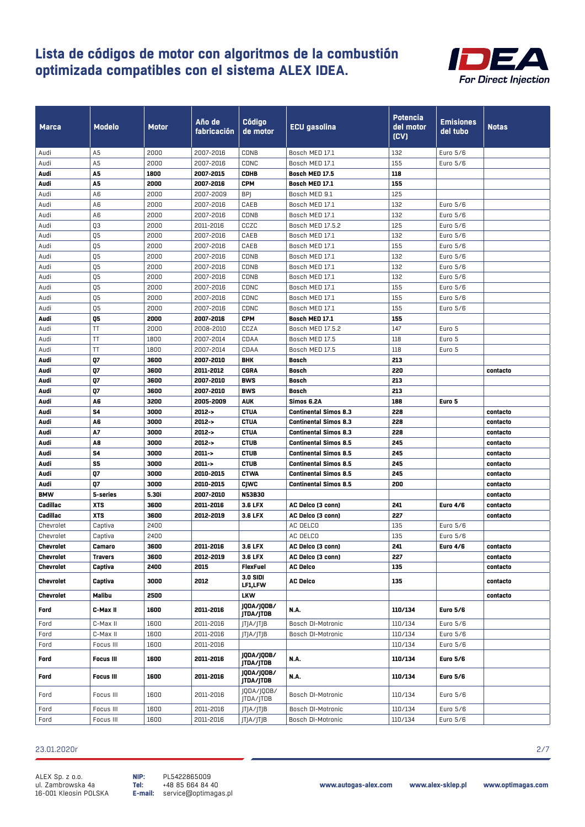

| <b>Marca</b>     | Modelo               | Motor        | Año de<br>fabricación  | Código<br>de motor         | <b>ECU gasolina</b>          | <b>Potencia</b><br>del motor<br>(CV) | Emisiones<br>del tubo       | <b>Notas</b> |
|------------------|----------------------|--------------|------------------------|----------------------------|------------------------------|--------------------------------------|-----------------------------|--------------|
| Audi             | A5                   | 2000         | 2007-2016              | CDNB                       | Bosch MED 17.1               | 132                                  | Euro 5/6                    |              |
| Audi             | A5                   | 2000         | 2007-2016              | CDNC                       | Bosch MED 17.1               | 155                                  | Euro 5/6                    |              |
| Audi             | A5                   | 1800         | 2007-2015              | <b>CDHB</b>                | Bosch MED 17.5               | 118                                  |                             |              |
| Audi             | A5                   | 2000         | 2007-2016              | <b>CPM</b>                 | Bosch MED 17.1               | 155                                  |                             |              |
| Audi             | A6                   | 2000         | 2007-2009              | <b>BPJ</b>                 | Bosch MED 9.1                | 125                                  |                             |              |
| Audi             | A6                   | 2000         | 2007-2016              | CAEB                       | Bosch MED 17.1               | 132                                  | Euro 5/6                    |              |
| Audi             | A6                   | 2000         | 2007-2016              | CDNB                       | Bosch MED 17.1               | 132                                  | Euro 5/6                    |              |
| Audi             | Q3                   | 2000         | 2011-2016              | CCZC                       | Bosch MED 17.5.2             | 125                                  | Euro 5/6                    |              |
| Audi             | Q5                   | 2000         | 2007-2016              | CAEB                       | Bosch MED 17.1               | 132                                  | Euro 5/6                    |              |
| Audi             | Q5                   | 2000         | 2007-2016              | CAEB                       | Bosch MED 17.1               | 155                                  | Euro 5/6                    |              |
| Audi             | Q5                   | 2000         | 2007-2016              | CDNB                       | Bosch MED 17.1               | 132                                  | Euro 5/6                    |              |
| Audi             | Q5                   | 2000         | 2007-2016              | CDNB                       | Bosch MED 17.1               | 132                                  | Euro 5/6                    |              |
| Audi             | Q5                   | 2000         | 2007-2016              | CDNB                       | Bosch MED 17.1               | 132                                  | Euro 5/6                    |              |
| Audi             | Q5                   | 2000         | 2007-2016              | CDNC                       | Bosch MED 17.1               | 155                                  | Euro 5/6                    |              |
| Audi             | Q5                   | 2000         | 2007-2016              | CDNC                       | Bosch MED 17.1               | 155                                  | Euro 5/6                    |              |
| Audi             | Q5                   | 2000         | 2007-2016              | CDNC                       | Bosch MED 17.1               | 155                                  | Euro 5/6                    |              |
| Audi             | Q5                   | 2000         | 2007-2016              | <b>CPM</b>                 | Bosch MED 17.1               | 155                                  |                             |              |
| Audi             | ΤT                   | 2000         | 2008-2010              | CCZA                       | Bosch MED 17.5.2             | 147                                  | Euro 5                      |              |
| Audi             | TT                   | 1800         | 2007-2014              | CDAA                       | Bosch MED 17.5               | 118                                  | Euro 5                      |              |
| Audi             | TT                   | 1800         | 2007-2014              | CDAA                       | Bosch MED 17.5               | 118                                  | Euro 5                      |              |
| Audi             | Q7                   | 3600         | 2007-2010              | <b>BHK</b>                 | Bosch                        | 213                                  |                             |              |
| Audi             | Q7                   | 3600         | 2011-2012              | <b>CGRA</b>                | Bosch                        | 220                                  |                             | contacto     |
| Audi             | Q7                   | 3600         | 2007-2010              | <b>BWS</b>                 | Bosch                        | 213                                  |                             |              |
| Audi             | Q7                   | 3600         | 2007-2010              | <b>BWS</b>                 | Bosch                        | 213                                  |                             |              |
| Audi             | A6                   | 3200         | 2005-2009              | <b>AUK</b>                 | Simos 6.2A                   | 188                                  | Euro 5                      |              |
| Audi             | S4                   | 3000         | $2012 - 5$             | <b>CTUA</b>                | <b>Continental Simos 8.3</b> | 228                                  |                             | contacto     |
| Audi             | A6                   | 3000         | $2012 - 5$             | <b>CTUA</b>                | <b>Continental Simos 8.3</b> | 228                                  |                             | contacto     |
| Audi             | A7                   | 3000         | $2012 - 5$             | <b>CTUA</b>                | <b>Continental Simos 8.3</b> | 228                                  |                             | contacto     |
| Audi             | A8                   | 3000         | $2012 - 5$             | <b>CTUB</b>                | <b>Continental Simos 8.5</b> | 245                                  |                             | contacto     |
| Audi             | S4                   | 3000         | $2011 - 5$             | <b>CTUB</b>                | <b>Continental Simos 8.5</b> | 245                                  |                             | contacto     |
| Audi             | S5                   | 3000         | $2011 - 5$             | <b>CTUB</b>                | <b>Continental Simos 8.5</b> | 245                                  |                             | contacto     |
| Audi             | Q7                   | 3000         | 2010-2015              | <b>CTWA</b>                | <b>Continental Simos 8.5</b> | 245                                  |                             | contacto     |
| Audi             | Q7                   | 3000         | 2010-2015              | <b>CJWC</b>                | <b>Continental Simos 8.5</b> | 200                                  |                             | contacto     |
| <b>BMW</b>       | 5-series             | 5.30i        | 2007-2010              | <b>N53B30</b>              |                              |                                      |                             | contacto     |
| Cadillac         | <b>XTS</b>           | 3600         | 2011-2016              | 3.6 LFX                    | AC Delco (3 conn)            | 241                                  | <b>Euro 4/6</b>             | contacto     |
| Cadillac         | <b>XTS</b>           | 3600         | 2012-2019              | 3.6 LFX                    | AC Delco (3 conn)            | 227                                  |                             | contacto     |
| Chevrolet        | Captiva              | 2400         |                        |                            | AC DELCO                     | 135                                  | Euro 5/6                    |              |
| Chevrolet        | Captiva              | 2400         |                        |                            | AC DELCO                     | 135                                  | Euro 5/6                    |              |
| Chevrolet        | Camaro               | 3600         | 2011-2016              | 3.6 LFX                    | AC Delco (3 conn)            | 241                                  | <b>Euro 4/6</b>             | contacto     |
| Chevrolet        | <b>Travers</b>       | 3600         | 2012-2019              | 3.6 LFX                    | AC Delco (3 conn)            | 227                                  |                             | contacto     |
| <b>Chevrolet</b> | Captiva              | 2400         | 2015                   | <b>FlexFuel</b>            | <b>AC Delco</b>              | 135                                  |                             | contacto     |
| Chevrolet        | Captiva              | 3000         | 2012                   | <b>3.0 SIDI</b><br>LF1,LFW | <b>AC Delco</b>              | 135                                  |                             | contacto     |
| Chevrolet        | Malibu               | 2500         |                        | <b>LKW</b>                 |                              |                                      |                             | contacto     |
|                  |                      |              |                        | JQDA/JQDB/                 |                              |                                      |                             |              |
| Ford<br>Ford     | C-Max II<br>C-Max II | 1600<br>1600 | 2011-2016<br>2011-2016 | JTDA/JTDB<br> T A/ T B     | N.A.<br>Bosch DI-Motronic    | 110/134<br>110/134                   | <b>Euro 5/6</b><br>Euro 5/6 |              |
|                  |                      |              |                        |                            |                              |                                      |                             |              |
| Ford             | C-Max II             | 1600         | 2011-2016              | JTJA/JTJB                  | Bosch DI-Motronic            | 110/134                              | Euro 5/6                    |              |
| Ford             | Focus III            | 1600         | 2011-2016              |                            |                              | 110/134                              | Euro 5/6                    |              |
| Ford             | <b>Focus III</b>     | 1600         | 2011-2016              | JQDA/JQDB/<br>JTDA/JTDB    | <b>N.A.</b>                  | 110/134                              | <b>Euro 5/6</b>             |              |
| Ford             | <b>Focus III</b>     | 1600         | 2011-2016              | JQDA/JQDB/<br>JTDA/JTDB    | <b>N.A.</b>                  | 110/134                              | <b>Euro 5/6</b>             |              |
| Ford             | Focus III            | 1600         | 2011-2016              | JQDA/JQDB/<br>JTDA/JTDB    | Bosch DI-Motronic            | 110/134                              | Euro 5/6                    |              |
| Ford             | Focus III            | 1600         | 2011-2016              | JTJA/JTJB                  | Bosch DI-Motronic            | 110/134                              | Euro 5/6                    |              |
| Ford             | Focus III            | 1600         | 2011-2016              | JTJA/JTJB                  | Bosch DI-Motronic            | 110/134                              | Euro 5/6                    |              |

#### 23.01.2020r 2/7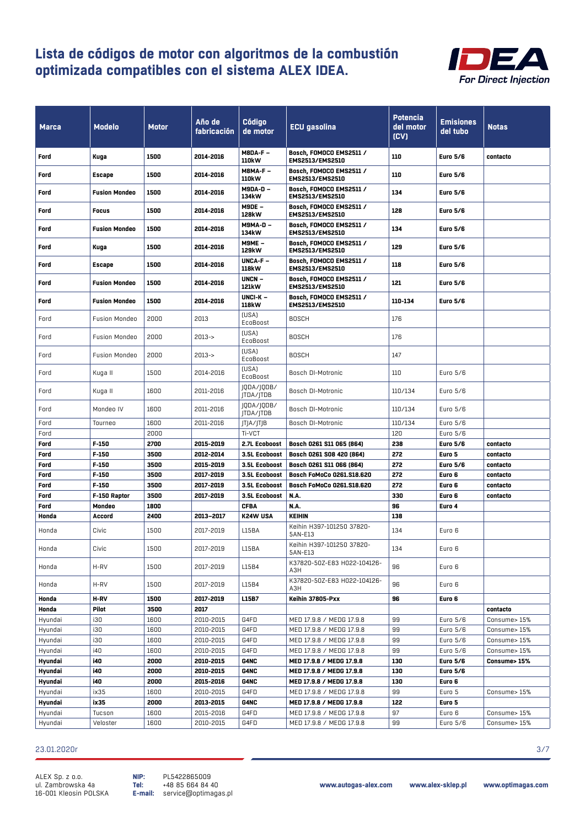

| <b>Marca</b> | Modelo               | <b>Motor</b> | Año de<br>fabricación | <b>Código</b><br>de motor  | <b>ECU</b> gasolina                        | Potencia<br>del motor<br>(CV) | <b>Emisiones</b><br>del tubo | <b>Notas</b> |
|--------------|----------------------|--------------|-----------------------|----------------------------|--------------------------------------------|-------------------------------|------------------------------|--------------|
| Ford         | Kuga                 | 1500         | 2014-2016             | $M8DA-F -$<br><b>110kW</b> | Bosch, FOMOCO EMS2511 /<br>EMS2513/EMS2510 | 110                           | <b>Euro 5/6</b>              | contacto     |
| Ford         | <b>Escape</b>        | 1500         | 2014-2016             | M8MA-F-<br>110kW           | Bosch, FOMOCO EMS2511 /<br>EMS2513/EMS2510 | 110                           | <b>Euro 5/6</b>              |              |
| Ford         | <b>Fusion Mondeo</b> | 1500         | 2014-2016             | <b>M9DA-D -</b><br>134kW   | Bosch, FOMOCO EMS2511 /<br>EMS2513/EMS2510 | 134                           | <b>Euro 5/6</b>              |              |
| Ford         | Focus                | 1500         | 2014-2016             | M9DE -<br>128kW            | Bosch, FOMOCO EMS2511 /<br>EMS2513/EMS2510 | 128                           | <b>Euro 5/6</b>              |              |
| Ford         | <b>Fusion Mondeo</b> | 1500         | 2014-2016             | <b>M9MA-D-</b><br>134kW    | Bosch, FOMOCO EMS2511 /<br>EMS2513/EMS2510 | 134                           | <b>Euro 5/6</b>              |              |
| Ford         | Kuga                 | 1500         | 2014-2016             | <b>M9ME -</b><br>129kW     | Bosch, FOMOCO EMS2511 /<br>EMS2513/EMS2510 | 129                           | <b>Euro 5/6</b>              |              |
| Ford         | <b>Escape</b>        | 1500         | 2014-2016             | UNCA-F-<br>118kW           | Bosch, FOMOCO EMS2511 /<br>EMS2513/EMS2510 | 118                           | <b>Euro 5/6</b>              |              |
| Ford         | <b>Fusion Mondeo</b> | 1500         | 2014-2016             | UNCN-<br>121kW             | Bosch, FOMOCO EMS2511 /<br>EMS2513/EMS2510 | 121                           | <b>Euro 5/6</b>              |              |
| Ford         | <b>Fusion Mondeo</b> | 1500         | 2014-2016             | $UNCI-K -$<br>118kW        | Bosch, FOMOCO EMS2511 /<br>EMS2513/EMS2510 | 110-134                       | <b>Euro 5/6</b>              |              |
| Ford         | <b>Fusion Mondeo</b> | 2000         | 2013                  | [USA]<br>EcoBoost          | <b>BOSCH</b>                               | 176                           |                              |              |
| Ford         | <b>Fusion Mondeo</b> | 2000         | $2013 - >$            | [USA]<br>EcoBoost          | <b>BOSCH</b>                               | 176                           |                              |              |
| Ford         | <b>Fusion Mondeo</b> | 2000         | $2013 - >$            | [USA]<br>EcoBoost          | <b>BOSCH</b>                               | 147                           |                              |              |
| Ford         | Kuga II              | 1500         | 2014-2016             | (USA)<br>EcoBoost          | Bosch DI-Motronic                          | 110                           | Euro 5/6                     |              |
| Ford         | Kuga II              | 1600         | 2011-2016             | QDA/ QDB/<br>JTDA/JTDB     | Bosch DI-Motronic                          | 110/134                       | Euro 5/6                     |              |
| Ford         | Mondeo IV            | 1600         | 2011-2016             | QDA/ QDB/<br>JTDA/JTDB     | Bosch DI-Motronic                          | 110/134                       | Euro 5/6                     |              |
| Ford         | Tourneo              | 1600         | 2011-2016             | JTJA/JTJB                  | Bosch DI-Motronic                          | 110/134                       | Euro 5/6                     |              |
| Ford         |                      | 2000         |                       | Ti-VCT                     |                                            | 120                           | Euro 5/6                     |              |
| Ford         | $F-150$              | 2700         | 2015-2019             | 2.7L Ecoboost              | Bosch 0261 S11 065 (864)                   | 238                           | <b>Euro 5/6</b>              | contacto     |
| Ford         | $F-150$              | 3500         | 2012-2014             | 3.5L Ecoboost              | Bosch 0261 S08 420 (864)                   | 272                           | Euro 5                       | contacto     |
| Ford         | $F-150$              | 3500         | 2015-2019             | 3.5L Ecoboost              | Bosch 0261 S11 066 (864)                   | 272                           | <b>Euro 5/6</b>              | contacto     |
| Ford         | $F-150$              | 3500         | 2017-2019             | 3.5L Ecoboost              | Bosch FoMoCo 0261.S18.620                  | 272                           | Euro 6                       | contacto     |
| Ford         | $F-150$              | 3500         | 2017-2019             | 3.5L Ecoboost              | Bosch FoMoCo 0261.S18.620                  | 272                           | Euro 6                       | contacto     |
| Ford         | F-150 Raptor         | 3500         | 2017-2019             | 3.5L Ecoboost              | N.A.                                       | 330                           | Euro 6                       | contacto     |
| Ford         | Mondeo               | 1800         |                       | <b>CFBA</b>                | N.A.                                       | 96                            | Euro 4                       |              |
| Honda        | Accord               | 2400         | 2013-2017             | <b>K24W USA</b>            | <b>KEIHIN</b>                              | 138                           |                              |              |
| Honda        | Civic                | 1500         | 2017-2019             | L15BA                      | Keihin H397-101250 37820-<br>5AN-E13       | 134                           | Euro 6                       |              |
| Honda        | Civic                | 1500         | 2017-2019             | L15BA                      | Keihin H397-101250 37820-<br>5AN-E13       | 134                           | Euro 6                       |              |
| Honda        | H-RV                 | 1500         | 2017-2019             | L15B4                      | K37820-50Z-E83 H022-104126-<br>АЗН         | 96                            | Euro 6                       |              |
| Honda        | H-RV                 | 1500         | 2017-2019             | L15B4                      | K37820-50Z-E83 H022-104126-<br>АЗН         | 96                            | Euro 6                       |              |
| Honda        | H-RV                 | 1500         | 2017-2019             | L15B7                      | Keihin 37805-Pxx                           | 96                            | Euro 6                       |              |
| Honda        | Pilot                | 3500         | 2017                  |                            |                                            |                               |                              | contacto     |
| Hyundai      | i30                  | 1600         | 2010-2015             | G4FD                       | MED 17.9.8 / MEDG 17.9.8                   | 99                            | Euro 5/6                     | Consume>15%  |
| Hyundai      | i30                  | 1600         | 2010-2015             | G4FD                       | MED 17.9.8 / MEDG 17.9.8                   | 99                            | Euro 5/6                     | Consume> 15% |
| Hyundai      | i30                  | 1600         | 2010-2015             | G4FD                       | MED 17.9.8 / MEDG 17.9.8                   | 99                            | Euro 5/6                     | Consume> 15% |
| Hyundai      | i40                  | 1600         | 2010-2015             | G4FD                       | MED 17.9.8 / MEDG 17.9.8                   | 99                            | Euro 5/6                     | Consume> 15% |
| Hyundai      | i40                  | 2000         | 2010-2015             | <b>G4NC</b>                | MED 17.9.8 / MEDG 17.9.8                   | 130                           | <b>Euro 5/6</b>              | Consume> 15% |
| Hyundai      | i40                  | 2000         | 2010-2015             | G4NC                       | MED 17.9.8 / MEDG 17.9.8                   | 130                           | <b>Euro 5/6</b>              |              |
| Hyundai      | i40                  | 2000         | 2015-2016             | <b>G4NC</b>                | MED 17.9.8 / MEDG 17.9.8                   | 130                           | Euro 6                       |              |
| Hyundai      | ix35                 | 1600         | 2010-2015             | G4FD                       | MED 17.9.8 / MEDG 17.9.8                   | 99                            | Euro 5                       | Consume> 15% |
| Hyundai      | ix35                 | 2000         | 2013-2015             | <b>G4NC</b>                | MED 17.9.8 / MEDG 17.9.8                   | 122                           | Euro 5                       |              |
| Hyundai      | Tucson               | 1600         | 2015-2016             | G4FD                       | MED 17.9.8 / MEDG 17.9.8                   | 97                            | Euro 6                       | Consume> 15% |
| Hyundai      | Veloster             | 1600         | 2010-2015             | G4FD                       | MED 17.9.8 / MEDG 17.9.8                   | 99                            | Euro 5/6                     | Consume>15%  |

#### 23.01.2020r 3/7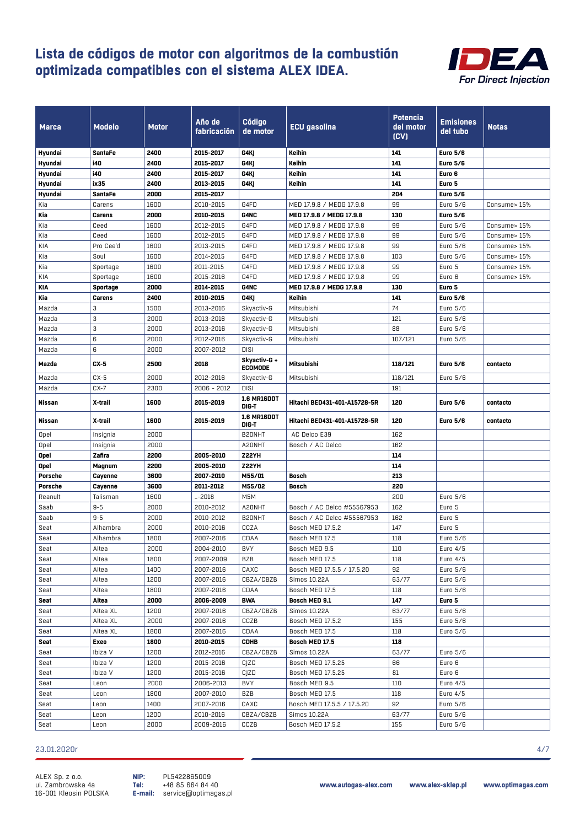

| <b>Marca</b>   | Modelo         | <b>Motor</b> | Año de<br>fabricación | <b>Código</b><br>de motor   | <b>ECU</b> gasolina          | Potencia<br>del motor<br>(CV) | <b>Emisiones</b><br>del tubo | <b>Notas</b> |
|----------------|----------------|--------------|-----------------------|-----------------------------|------------------------------|-------------------------------|------------------------------|--------------|
| Hyundai        | SantaFe        | 2400         | 2015-2017             | G4KJ                        | Keihin                       | 141                           | <b>Euro 5/6</b>              |              |
| Hyundai        | <b>i40</b>     | 2400         | 2015-2017             | G4KJ                        | Keihin                       | 141                           | <b>Euro 5/6</b>              |              |
| Hyundai        | i40            | 2400         | 2015-2017             | G4KJ                        | Keihin                       | 141                           | Euro 6                       |              |
| Hyundai        | ix35           | 2400         | 2013-2015             | G4KJ                        | Keihin                       | 141                           | Euro 5                       |              |
| Hyundai        | <b>SantaFe</b> | 2000         | 2015-2017             |                             |                              | 204                           | <b>Euro 5/6</b>              |              |
| Kia            | Carens         | 1600         | 2010-2015             | G4FD                        | MED 17.9.8 / MEDG 17.9.8     | 99                            | Euro 5/6                     | Consume> 15% |
| Kia            | Carens         | 2000         | 2010-2015             | <b>G4NC</b>                 | MED 17.9.8 / MEDG 17.9.8     | 130                           | <b>Euro 5/6</b>              |              |
| Kia            | Ceed           | 1600         | 2012-2015             | G4FD                        | MED 17.9.8 / MEDG 17.9.8     | 99                            | Euro 5/6                     | Consume> 15% |
| Kia            | Ceed           | 1600         | 2012-2015             | G4FD                        | MED 17.9.8 / MEDG 17.9.8     | 99                            | Euro 5/6                     | Consume> 15% |
| KIA            | Pro Cee'd      | 1600         | 2013-2015             | G4FD                        | MED 17.9.8 / MEDG 17.9.8     | 99                            | Euro 5/6                     | Consume> 15% |
| Kia            | Soul           | 1600         | 2014-2015             | G4FD                        | MED 17.9.8 / MEDG 17.9.8     | 103                           | Euro 5/6                     | Consume> 15% |
| Kia            | Sportage       | 1600         | 2011-2015             | G4FD                        | MED 17.9.8 / MEDG 17.9.8     | 99                            | Euro 5                       | Consume> 15% |
| KIA            | Sportage       | 1600         | 2015-2016             | G4FD                        | MED 17.9.8 / MEDG 17.9.8     | 99                            | Euro 6                       | Consume> 15% |
| KIA            | Sportage       | 2000         | 2014-2015             | <b>G4NC</b>                 | MED 17.9.8 / MEDG 17.9.8     | 130                           | Euro 5                       |              |
| Kia            | Carens         | 2400         | 2010-2015             | G4KJ                        | Keihin                       | 141                           | <b>Euro 5/6</b>              |              |
| Mazda          | 3              | 1500         | 2013-2016             | Skyactiv-G                  | Mitsubishi                   | 74                            | Euro 5/6                     |              |
| Mazda          | 3              | 2000         | 2013-2016             | Skyactiv-G                  | Mitsubishi                   | 121                           | Euro 5/6                     |              |
| Mazda          | 3              | 2000         | 2013-2016             | Skyactiv-G                  | Mitsubishi                   | 88                            | Euro 5/6                     |              |
| Mazda          | 6              | 2000         | 2012-2016             | Skyactiv-G                  | Mitsubishi                   | 107/121                       | Euro 5/6                     |              |
| Mazda          | 6              | 2000         | 2007-2012             | <b>DISI</b>                 |                              |                               |                              |              |
|                |                |              |                       | Skyactiv-G +                |                              |                               |                              |              |
| Mazda          | $CX-5$         | 2500         | 2018                  | <b>ECOMODE</b>              | Mitsubishi                   | 118/121                       | <b>Euro 5/6</b>              | contacto     |
| Mazda          | $CX-5$         | 2000         | 2012-2016             | Skyactiv-G                  | Mitsubishi                   | 118/121                       | Euro 5/6                     |              |
| Mazda          | $CX-7$         | 2300         | $2006 - 2012$         | <b>DISI</b>                 |                              | 191                           |                              |              |
| Nissan         | X-trail        | 1600         | 2015-2019             | <b>1.6 MR16DDT</b><br>DIG-T | Hitachi BED431-401-A15728-5R | 120                           | <b>Euro 5/6</b>              | contacto     |
| Nissan         | X-trail        | 1600         | 2015-2019             | <b>1.6 MR16DDT</b><br>DIG-T | Hitachi BED431-401-A15728-5R | 120                           | <b>Euro 5/6</b>              | contacto     |
| Opel           | Insignia       | 2000         |                       | B20NHT                      | AC Delco E39                 | 162                           |                              |              |
| Opel           | Insignia       | 2000         |                       | A20NHT                      | Bosch / AC Delco             | 162                           |                              |              |
| Opel           | Zafira         | 2200         | 2005-2010             | <b>Z22YH</b>                |                              | 114                           |                              |              |
| Opel           | Magnum         | 2200         | 2005-2010             | <b>Z22YH</b>                |                              | 114                           |                              |              |
| <b>Porsche</b> | Cayenne        | 3600         | 2007-2010             | M55/01                      | <b>Bosch</b>                 | 213                           |                              |              |
| Porsche        | Cayenne        | 3600         | 2011-2012             | M55/02                      | Bosch                        | 220                           |                              |              |
| Reanult        | Talisman       | 1600         | -2018                 | M5M                         |                              | 200                           | Euro 5/6                     |              |
| Saab           | $9 - 5$        | 2000         | 2010-2012             | A20NHT                      | Bosch / AC Delco #55567953   | 162                           | Euro 5                       |              |
| Saab           | $9 - 5$        | 2000         | 2010-2012             | B20NHT                      | Bosch / AC Delco #55567953   | 162                           | Euro 5                       |              |
| Seat           | Alhambra       | 2000         | 2010-2016             | CCZA                        | Bosch MED 17.5.2             | 147                           | Euro 5                       |              |
| Seat           | Alhambra       | 1800         | 2007-2016             | CDAA                        | Bosch MED 17.5               | 118                           | Euro 5/6                     |              |
| Seat           | Altea          | 2000         | 2004-2010             | <b>BVY</b>                  | Bosch MED 9.5                | $110\,$                       | Euro 4/5                     |              |
| Seat           | Altea          | 1800         | 2007-2009             | BZB                         | Bosch MED 17.5               | 118                           | Euro 4/5                     |              |
| Seat           | Altea          | 1400         | 2007-2016             | CAXC                        | Bosch MED 17.5.5 / 17.5.20   | 92                            | Euro 5/6                     |              |
| Seat           | Altea          | 1200         | 2007-2016             | CBZA/CBZB                   | Simos 10.22A                 | 63/77                         | Euro 5/6                     |              |
| Seat           | Altea          | 1800         | 2007-2016             | CDAA                        | Bosch MED 17.5               | 118                           | Euro 5/6                     |              |
| Seat           | Altea          | 2000         | 2006-2009             | <b>BWA</b>                  | Bosch MED 9.1                | 147                           | Euro 5                       |              |
| Seat           | Altea XL       | 1200         | 2007-2016             | CBZA/CBZB                   | Simos 10.22A                 | 63/77                         | Euro 5/6                     |              |
| Seat           | Altea XL       | 2000         | 2007-2016             | CCZB                        | Bosch MED 17.5.2             | 155                           | Euro 5/6                     |              |
| Seat           | Altea XL       | 1800         | 2007-2016             | CDAA                        | Bosch MED 17.5               | 118                           | Euro 5/6                     |              |
| Seat           | Exeo           | 1800         | 2010-2015             | CDHB                        | Bosch MED 17.5               | 118                           |                              |              |
| Seat           | Ibiza V        | 1200         | 2012-2016             | CBZA/CBZB                   | Simos 10.22A                 | 63/77                         | Euro 5/6                     |              |
| Seat           | Ibiza V        | 1200         | 2015-2016             | CJZC                        | Bosch MED 17.5.25            | 66                            | Euro 6                       |              |
| Seat           | Ibiza V        | 1200         | 2015-2016             | CJZD                        | Bosch MED 17.5.25            | 81                            | Euro 6                       |              |
| Seat           | Leon           | 2000         | 2006-2013             | <b>BVY</b>                  | Bosch MED 9.5                | 110                           | Euro 4/5                     |              |
| Seat           | Leon           | 1800         | 2007-2010             | BZB                         | Bosch MED 17.5               | 118                           | Euro 4/5                     |              |
| Seat           | Leon           | 1400         | 2007-2016             | CAXC                        | Bosch MED 17.5.5 / 17.5.20   | 92                            | Euro 5/6                     |              |
| Seat           |                |              |                       |                             |                              |                               |                              |              |
|                | Leon           | 1200         | 2010-2016             | CBZA/CBZB                   | Simos 10.22A                 | 63/77                         | Euro 5/6                     |              |

#### 23.01.2020r 4/7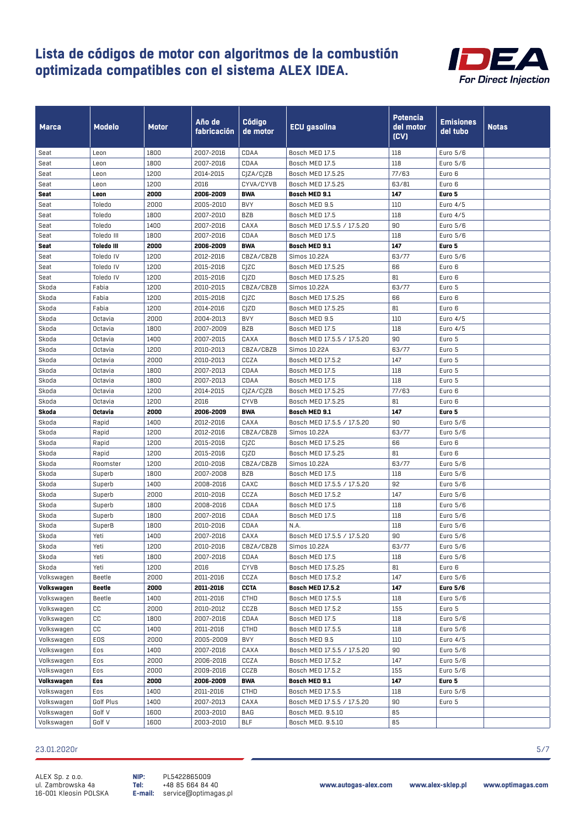

| <b>Marca</b>        | <b>Modelo</b>          | Motor        | Año de<br>fabricación  | <b>Código</b><br>de motor | <b>ECU gasolina</b>                   | Potencia<br>del motor<br>(CV) | <b>Emisiones</b><br>del tubo | <b>Notas</b> |
|---------------------|------------------------|--------------|------------------------|---------------------------|---------------------------------------|-------------------------------|------------------------------|--------------|
| Seat                | Leon                   | 1800         | 2007-2016              | CDAA                      | Bosch MED 17.5                        | 118                           | Euro 5/6                     |              |
| Seat                | Leon                   | 1800         | 2007-2016              | CDAA                      | Bosch MED 17.5                        | 118                           | Euro 5/6                     |              |
| Seat                | Leon                   | 1200         | 2014-2015              | CJZA/CJZB                 | Bosch MED 17.5.25                     | 77/63                         | Euro 6                       |              |
| Seat                | Leon                   | 1200         | 2016                   | CYVA/CYVB                 | Bosch MED 17.5.25                     | 63/81                         | Euro 6                       |              |
| Seat                | Leon                   | 2000         | 2006-2009              | <b>BWA</b>                | Bosch MED 9.1                         | 147                           | Euro 5                       |              |
| Seat                | Toledo                 | 2000         | 2005-2010              | <b>BVY</b>                | Bosch MED 9.5                         | 110                           | Euro 4/5                     |              |
| Seat                | Toledo                 | 1800         | 2007-2010              | <b>BZB</b>                | Bosch MED 17.5                        | 118                           | Euro 4/5                     |              |
| Seat                | Toledo                 | 1400         | 2007-2016              | CAXA                      | Bosch MED 17.5.5 / 17.5.20            | 90                            | Euro 5/6                     |              |
| Seat                | Toledo III             | 1800         | 2007-2016              | CDAA                      | Bosch MED 17.5                        | 118                           | Euro 5/6                     |              |
| Seat                | <b>Toledo III</b>      | 2000         | 2006-2009              | <b>BWA</b>                | Bosch MED 9.1                         | 147                           | Euro 5                       |              |
| Seat                | Toledo IV              | 1200         | 2012-2016              | CBZA/CBZB                 | Simos 10.22A                          | 63/77                         | Euro 5/6                     |              |
| Seat                | Toledo IV<br>Toledo IV | 1200<br>1200 | 2015-2016              | CJZC                      | Bosch MED 17.5.25                     | 66<br>81                      | Euro 6                       |              |
| Seat<br>Skoda       | Fabia                  | 1200         | 2015-2016<br>2010-2015 | CJZD<br>CBZA/CBZB         | Bosch MED 17.5.25<br>Simos 10.22A     | 63/77                         | Euro 6<br>Euro 5             |              |
| Skoda               | Fabia                  | 1200         | 2015-2016              | CJZC                      | Bosch MED 17.5.25                     | 66                            | Euro 6                       |              |
| Skoda               | Fabia                  | 1200         | 2014-2016              | CJZD                      | Bosch MED 17.5.25                     | 81                            | Euro 6                       |              |
| Skoda               | Octavia                | 2000         | 2004-2013              | <b>BVY</b>                | Bosch MED 9.5                         | 110                           | Euro 4/5                     |              |
| Skoda               | Octavia                | 1800         | 2007-2009              | BZB                       | Bosch MED 17.5                        | 118                           | Euro 4/5                     |              |
| Skoda               | Octavia                | 1400         | 2007-2015              | CAXA                      | Bosch MED 17.5.5 / 17.5.20            | 90                            | Euro 5                       |              |
| Skoda               | Octavia                | 1200         | 2010-2013              | CBZA/CBZB                 | Simos 10.22A                          | 63/77                         | Euro 5                       |              |
| Skoda               | Octavia                | 2000         | 2010-2013              | CCZA                      | Bosch MED 17.5.2                      | 147                           | Euro 5                       |              |
| Skoda               | Octavia                | 1800         | 2007-2013              | CDAA                      | Bosch MED 17.5                        | 118                           | Euro 5                       |              |
| Skoda               | Octavia                | 1800         | 2007-2013              | CDAA                      | Bosch MED 17.5                        | 118                           | Euro 5                       |              |
| Skoda               | Octavia                | 1200         | 2014-2015              | CJZA/CJZB                 | Bosch MED 17.5.25                     | 77/63                         | Euro 6                       |              |
| Skoda               | Octavia                | 1200         | 2016                   | <b>CYVB</b>               | Bosch MED 17.5.25                     | 81                            | Euro 6                       |              |
| Skoda               | Octavia                | 2000         | 2006-2009              | <b>BWA</b>                | Bosch MED 9.1                         | 147                           | Euro 5                       |              |
| Skoda               | Rapid                  | 1400         | 2012-2016              | CAXA                      | Bosch MED 17.5.5 / 17.5.20            | 90                            | Euro 5/6                     |              |
| Skoda               | Rapid                  | 1200         | 2012-2016              | CBZA/CBZB                 | Simos 10.22A                          | 63/77                         | Euro 5/6                     |              |
| Skoda               | Rapid                  | 1200         | 2015-2016              | CIZC                      | Bosch MED 17.5.25                     | 66                            | Euro 6                       |              |
| Skoda               | Rapid                  | 1200         | 2015-2016              | CIZD                      | Bosch MED 17.5.25                     | 81                            | Euro 6                       |              |
| Skoda               | Roomster               | 1200         | 2010-2016              | CBZA/CBZB                 | Simos 10.22A                          | 63/77                         | Euro 5/6                     |              |
| Skoda               | Superb                 | 1800         | 2007-2008              | <b>BZB</b>                | Bosch MED 17.5                        | 118                           | Euro 5/6                     |              |
| Skoda               | Superb                 | 1400         | 2008-2016              | CAXC                      | Bosch MED 17.5.5 / 17.5.20            | 92                            | Euro 5/6                     |              |
| Skoda               | Superb                 | 2000         | 2010-2016              | CCZA                      | Bosch MED 17.5.2                      | 147                           | Euro 5/6                     |              |
| Skoda               | Superb                 | 1800         | 2008-2016              | CDAA                      | Bosch MED 17.5                        | 118                           | Euro 5/6                     |              |
| Skoda               | Superb                 | 1800         | 2007-2016              | CDAA                      | Bosch MED 17.5                        | 118                           | Euro 5/6                     |              |
| Skoda               | SuperB                 | 1800         | 2010-2016              | CDAA                      | N.A.                                  | 118                           | Euro 5/6                     |              |
| Skoda               | Yeti                   | 1400         | 2007-2016              | CAXA                      | Bosch MED 17.5.5 / 17.5.20            | 90                            | Euro 5/6                     |              |
| Skoda               | Yeti                   | 1200         | 2010-2016              | CBZA/CBZB                 | Simos 10.22A                          | 63/77                         | Euro 5/6                     |              |
| Skoda               | Yeti                   | 1800         | 2007-2016              | CDAA                      | Bosch MED 17.5                        | 118                           | Euro 5/6                     |              |
| Skoda<br>Volkswagen | Yeti<br>Beetle         | 1200<br>2000 | 2016<br>2011-2016      | CYVB<br>CCZA              | Bosch MED 17.5.25<br>Bosch MED 17.5.2 | 81<br>147                     | Euro 6<br>Euro 5/6           |              |
| Volkswagen          | <b>Beetle</b>          | 2000         | 2011-2016              | <b>CCTA</b>               | <b>Bosch MED 17.5.2</b>               | 147                           | <b>Euro 5/6</b>              |              |
| Volkswagen          | Beetle                 | 1400         | 2011-2016              | CTHD                      | Bosch MED 17.5.5                      | 118                           | Euro 5/6                     |              |
| Volkswagen          | СC                     | 2000         | 2010-2012              | CCZB                      | Bosch MED 17.5.2                      | 155                           | Euro 5                       |              |
| Volkswagen          | CC                     | 1800         | 2007-2016              | CDAA                      | Bosch MED 17.5                        | 118                           | Euro 5/6                     |              |
| Volkswagen          | CC                     | 1400         | 2011-2016              | CTHD                      | Bosch MED 17.5.5                      | 118                           | Euro 5/6                     |              |
| Volkswagen          | EOS                    | 2000         | 2005-2009              | <b>BVY</b>                | Bosch MED 9.5                         | 110                           | Euro 4/5                     |              |
| Volkswagen          | Eos                    | 1400         | 2007-2016              | CAXA                      | Bosch MED 17.5.5 / 17.5.20            | 90                            | Euro 5/6                     |              |
| Volkswagen          | Eos                    | 2000         | 2006-2016              | CCZA                      | Bosch MED 17.5.2                      | 147                           | Euro 5/6                     |              |
| Volkswagen          | Eos                    | 2000         | 2009-2016              | CCZB                      | Bosch MED 17.5.2                      | 155                           | Euro 5/6                     |              |
| Volkswagen          | Eos                    | 2000         | 2006-2009              | <b>BWA</b>                | Bosch MED 9.1                         | 147                           | Euro 5                       |              |
| Volkswagen          | Eos                    | 1400         | 2011-2016              | <b>CTHD</b>               | Bosch MED 17.5.5                      | 118                           | Euro 5/6                     |              |
| Volkswagen          | Golf Plus              | 1400         | 2007-2013              | CAXA                      | Bosch MED 17.5.5 / 17.5.20            | 90                            | Euro 5                       |              |
| Volkswagen          | Golf V                 | 1600         | 2003-2010              | BAG                       | Bosch MED. 9.5.10                     | 85                            |                              |              |
| Volkswagen          | Golf V                 | 1600         | 2003-2010              | <b>BLF</b>                | Bosch MED. 9.5.10                     | 85                            |                              |              |

#### 23.01.2020r 5/7

ALEX Sp. z o.o. ul. Zambrowska 4a 16-001 Kleosin POLSKA

PL5422865009 +48 85 664 84 40 service@optimagas.pl **NIP: Tel: E-mail:**

**www.autogas-alex.com www.alex-sklep.pl www.optimagas.com**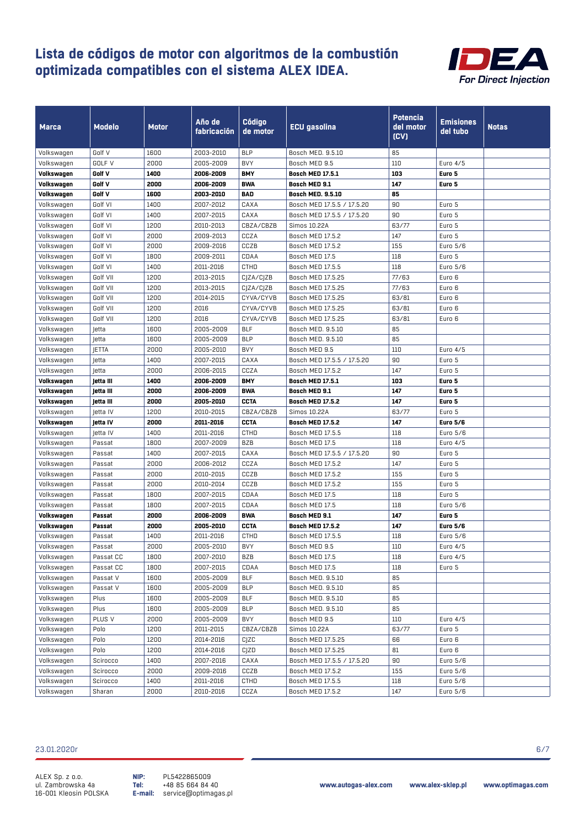

| <b>Marca</b> | <b>Modelo</b>   | <b>Motor</b> | Año de<br>fabricación | <b>Código</b><br>de motor | ECU gasolina               | Potencia<br>del motor<br>(CV) | <b>Emisiones</b><br>del tubo | <b>Notas</b> |
|--------------|-----------------|--------------|-----------------------|---------------------------|----------------------------|-------------------------------|------------------------------|--------------|
| Volkswagen   | Golf V          | 1600         | 2003-2010             | <b>BLP</b>                | Bosch MED. 9.5.10          | 85                            |                              |              |
| Volkswagen   | GOLF V          | 2000         | 2005-2009             | <b>BVY</b>                | Bosch MED 9.5              | 110                           | Euro 4/5                     |              |
| Volkswagen   | Golf V          | 1400         | 2006-2009             | <b>BMY</b>                | <b>Bosch MED 17.5.1</b>    | 103                           | Euro 5                       |              |
| Volkswagen   | Golf V          | 2000         | 2006-2009             | <b>BWA</b>                | Bosch MED 9.1              | 147                           | Euro 5                       |              |
| Volkswagen   | Golf V          | 1600         | 2003-2010             | BAD                       | <b>Bosch MED. 9.5.10</b>   | 85                            |                              |              |
| Volkswagen   | Golf VI         | 1400         | 2007-2012             | CAXA                      | Bosch MED 17.5.5 / 17.5.20 | 90                            | Euro 5                       |              |
| Volkswagen   | Golf VI         | 1400         | 2007-2015             | CAXA                      | Bosch MED 17.5.5 / 17.5.20 | 90                            | Euro 5                       |              |
| Volkswagen   | Golf VI         | 1200         | 2010-2013             | CBZA/CBZB                 | Simos 10.22A               | 63/77                         | Euro 5                       |              |
| Volkswagen   | Golf VI         | 2000         | 2009-2013             | CCZA                      | Bosch MED 17.5.2           | 147                           | Euro 5                       |              |
| Volkswagen   | Golf VI         | 2000         | 2009-2016             | CCZB                      | Bosch MED 17.5.2           | 155                           | Euro 5/6                     |              |
| Volkswagen   | Golf VI         | 1800         | 2009-2011             | CDAA                      | Bosch MED 17.5             | 118                           | Euro 5                       |              |
| Volkswagen   | Golf VI         | 1400         | 2011-2016             | CTHD                      | Bosch MED 17.5.5           | 118                           | Euro 5/6                     |              |
| Volkswagen   | Golf VII        | 1200         | 2013-2015             | CJZA/CJZB                 | Bosch MED 17.5.25          | 77/63                         | Euro 6                       |              |
| Volkswagen   | Golf VII        | 1200         | 2013-2015             | CJZA/CJZB                 | Bosch MED 17.5.25          | 77/63                         | Euro 6                       |              |
| Volkswagen   | Golf VII        | 1200         | 2014-2015             | CYVA/CYVB                 | Bosch MED 17.5.25          | 63/81                         | Euro 6                       |              |
| Volkswagen   | Golf VII        | 1200         | 2016                  | CYVA/CYVB                 | Bosch MED 17.5.25          | 63/81                         | Euro 6                       |              |
| Volkswagen   | Golf VII        | 1200         | 2016                  | CYVA/CYVB                 | Bosch MED 17.5.25          | 63/81                         | Euro 6                       |              |
| Volkswagen   | Jetta           | 1600         | 2005-2009             | BLF                       | Bosch MED. 9.5.10          | 85                            |                              |              |
| Volkswagen   | Jetta           | 1600         | 2005-2009             | <b>BLP</b>                | Bosch MED. 9.5.10          | 85                            |                              |              |
| Volkswagen   | JETTA           | 2000         | 2005-2010             | <b>BVY</b>                | Bosch MED 9.5              | 110                           | Euro 4/5                     |              |
| Volkswagen   | Jetta           | 1400         | 2007-2015             | CAXA                      | Bosch MED 17.5.5 / 17.5.20 | 90                            | Euro 5                       |              |
| Volkswagen   | Jetta           | 2000         | 2006-2015             | CCZA                      | Bosch MED 17.5.2           | 147                           | Euro 5                       |              |
| Volkswagen   | letta III       | 1400         | 2006-2009             | <b>BMY</b>                | <b>Bosch MED 17.5.1</b>    | 103                           | Euro 5                       |              |
| Volkswagen   | jetta III       | 2000         | 2006-2009             | <b>BWA</b>                | Bosch MED 9.1              | 147                           | Euro 5                       |              |
| Volkswagen   | jetta III       | 2000         | 2005-2010             | <b>CCTA</b>               | <b>Bosch MED 17.5.2</b>    | 147                           | Euro 5                       |              |
| Volkswagen   | Jetta IV        | 1200         | 2010-2015             | CBZA/CBZB                 | Simos 10.22A               | 63/77                         | Euro 5                       |              |
| Volkswagen   | <b>Jetta IV</b> | 2000         | 2011-2016             | <b>CCTA</b>               | <b>Bosch MED 17.5.2</b>    | 147                           | <b>Euro 5/6</b>              |              |
| Volkswagen   | Jetta IV        | 1400         | 2011-2016             | <b>CTHD</b>               | Bosch MED 17.5.5           | 118                           | Euro 5/6                     |              |
| Volkswagen   | Passat          | 1800         | 2007-2009             | <b>BZB</b>                | Bosch MED 17.5             | 118                           | Euro 4/5                     |              |
| Volkswagen   | Passat          | 1400         | 2007-2015             | CAXA                      | Bosch MED 17.5.5 / 17.5.20 | 90                            | Euro 5                       |              |
| Volkswagen   | Passat          | 2000         | 2006-2012             | CCZA                      | Bosch MED 17.5.2           | 147                           | Euro 5                       |              |
| Volkswagen   | Passat          | 2000         | 2010-2015             | CCZB                      | Bosch MED 17.5.2           | 155                           | Euro 5                       |              |
| Volkswagen   | Passat          | 2000         | 2010-2014             | CCZB                      | Bosch MED 17.5.2           | 155                           | Euro 5                       |              |
| Volkswagen   | Passat          | 1800         | 2007-2015             | CDAA                      | Bosch MED 17.5             | 118                           | Euro 5                       |              |
| Volkswagen   | Passat          | 1800         | 2007-2015             | CDAA                      | Bosch MED 17.5             | 118                           | Euro 5/6                     |              |
| Volkswagen   | Passat          | 2000         | 2006-2009             | <b>BWA</b>                | Bosch MED 9.1              | 147                           | Euro 5                       |              |
| Volkswagen   | Passat          | 2000         | 2005-2010             | <b>CCTA</b>               | <b>Bosch MED 17.5.2</b>    | 147                           | <b>Euro 5/6</b>              |              |
| Volkswagen   | Passat          | 1400         | 2011-2016             | CTHD                      | Bosch MED 17.5.5           | 118                           | Euro 5/6                     |              |
| Volkswagen   | Passat          | 2000         | 2005-2010             | <b>BVY</b>                | Bosch MED 9.5              | 110                           | Euro 4/5                     |              |
| Volkswagen   | Passat CC       | 1800         | 2007-2010             | <b>BZB</b>                | Bosch MED 17.5             | 118                           | Euro 4/5                     |              |
| Volkswagen   | Passat CC       | 1800         | 2007-2015             | CDAA                      | Bosch MED 17.5             | 118                           | Euro 5                       |              |
| Volkswagen   | Passat V        | 1600         | 2005-2009             | <b>BLF</b>                | Bosch MED. 9.5.10          | 85                            |                              |              |
| Volkswagen   | Passat V        | 1600         | 2005-2009             | <b>BLP</b>                | Bosch MED. 9.5.10          | 85                            |                              |              |
| Volkswagen   | Plus            | 1600         | 2005-2009             | <b>BLF</b>                | Bosch MED. 9.5.10          | 85                            |                              |              |
| Volkswagen   | Plus            | 1600         | 2005-2009             | <b>BLP</b>                | Bosch MED. 9.5.10          | 85                            |                              |              |
| Volkswagen   | PLUS V          | 2000         | 2005-2009             | <b>BVY</b>                | Bosch MED 9.5              | 110                           | Euro 4/5                     |              |
| Volkswagen   | Polo            | 1200         | 2011-2015             | CBZA/CBZB                 | Simos 10.22A               | 63/77                         | Euro 5                       |              |
| Volkswagen   | Polo            | 1200         | 2014-2016             | CIZC                      | Bosch MED 17.5.25          | 66                            | Euro 6                       |              |
| Volkswagen   | Polo            | 1200         | 2014-2016             | CJZD                      | Bosch MED 17.5.25          | 81                            | Euro 6                       |              |
| Volkswagen   | Scirocco        | 1400         | 2007-2016             | CAXA                      | Bosch MED 17.5.5 / 17.5.20 | 90                            | Euro 5/6                     |              |
| Volkswagen   | Scirocco        | 2000         | 2009-2016             | CCZB                      | Bosch MED 17.5.2           | 155                           | Euro 5/6                     |              |
| Volkswagen   | Scirocco        | 1400         | 2011-2016             | CTHD                      | Bosch MED 17.5.5           | 118                           | Euro 5/6                     |              |
| Volkswagen   | Sharan          | 2000         | 2010-2016             | CCZA                      | Bosch MED 17.5.2           | 147                           | Euro 5/6                     |              |

#### 23.01.2020r 6/7